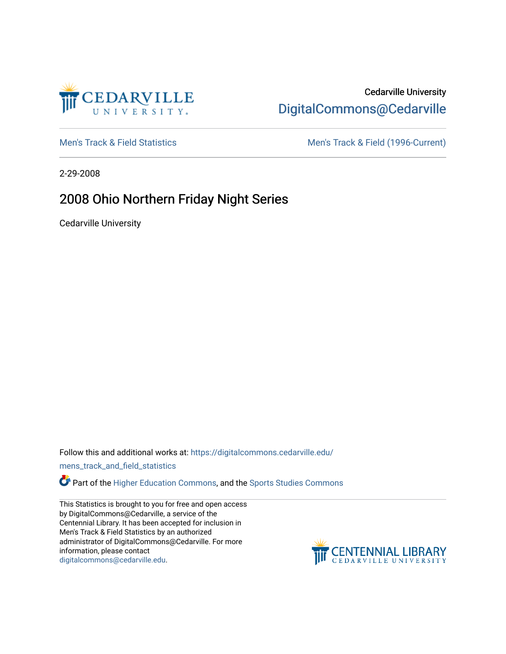

# Cedarville University [DigitalCommons@Cedarville](https://digitalcommons.cedarville.edu/)

[Men's Track & Field Statistics](https://digitalcommons.cedarville.edu/mens_track_and_field_statistics) [Men's Track & Field \(1996-Current\)](https://digitalcommons.cedarville.edu/mens_track_and_field) 

2-29-2008

# 2008 Ohio Northern Friday Night Series

Cedarville University

Follow this and additional works at: [https://digitalcommons.cedarville.edu/](https://digitalcommons.cedarville.edu/mens_track_and_field_statistics?utm_source=digitalcommons.cedarville.edu%2Fmens_track_and_field_statistics%2F187&utm_medium=PDF&utm_campaign=PDFCoverPages)

[mens\\_track\\_and\\_field\\_statistics](https://digitalcommons.cedarville.edu/mens_track_and_field_statistics?utm_source=digitalcommons.cedarville.edu%2Fmens_track_and_field_statistics%2F187&utm_medium=PDF&utm_campaign=PDFCoverPages)

**Part of the [Higher Education Commons,](http://network.bepress.com/hgg/discipline/1245?utm_source=digitalcommons.cedarville.edu%2Fmens_track_and_field_statistics%2F187&utm_medium=PDF&utm_campaign=PDFCoverPages) and the Sports Studies Commons** 

This Statistics is brought to you for free and open access by DigitalCommons@Cedarville, a service of the Centennial Library. It has been accepted for inclusion in Men's Track & Field Statistics by an authorized administrator of DigitalCommons@Cedarville. For more information, please contact [digitalcommons@cedarville.edu](mailto:digitalcommons@cedarville.edu).

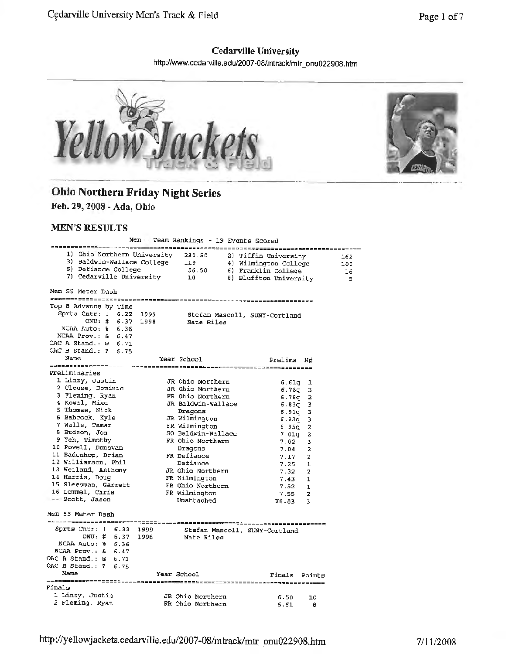#### **Cedarville University**

http://www.cedarville.edu/2007-08/mtrack/mtr \_ onu022908. htm



# **Ohio Northern Friday Night Series**

**Feb.** *29,* **2008 - Ada, Ohio** 

#### **MEN'S RESULTS**

|                                                                                                         | Men - Team Rankings - 19 Events Scored |                               |                |          |
|---------------------------------------------------------------------------------------------------------|----------------------------------------|-------------------------------|----------------|----------|
| 1) Ohio Northern University 230.50                                                                      |                                        | 2) Tiffin University          |                |          |
| 3) Baldwin-Wallace College 119 4) Wilmington College                                                    |                                        |                               |                | 162      |
|                                                                                                         |                                        |                               |                | 100      |
| 5) Defiance College (56.50 (6) Franklin College<br>7) Cedarville University (10 (8) Bluffton University |                                        |                               |                | -16<br>5 |
|                                                                                                         |                                        |                               |                |          |
| Men 55 Meter Dash                                                                                       |                                        |                               |                |          |
| Top 8 Advance by Time                                                                                   |                                        |                               |                |          |
| Sprts Cntr: 1 6.22 1999                                                                                 |                                        |                               |                |          |
| ONU: # 6.37 1998                                                                                        |                                        | Stefan Mascoll, SUNY-Cortland |                |          |
| NCAA Auto: % 6.36                                                                                       | Nate Riles                             |                               |                |          |
| NCAA Prov.: $\& 6.47$                                                                                   |                                        |                               |                |          |
| OAC A Stand.: @ 6.71                                                                                    |                                        |                               |                |          |
| OAC B Stand.: ? 6.75                                                                                    |                                        |                               |                |          |
| Name                                                                                                    | Year School                            |                               |                |          |
|                                                                                                         |                                        | Prelims H#                    |                |          |
| Preliminaries                                                                                           |                                        |                               |                |          |
| 1 Linzy, Justin                                                                                         | JR Ohio Northern                       | $6.61q$ 1                     |                |          |
| 2 Clouse, Dominic                                                                                       | JR Ohio Northern                       | $6.78q$ 3                     |                |          |
| 3 Fleming, Ryan                                                                                         | FR Ohio Northern                       | $6.78q$ 2                     |                |          |
| 4 Kowal, Mike                                                                                           | JR Baldwin-Wallace                     | $6.83q$ 3                     |                |          |
| 5 Thomas, Nick                                                                                          | Dragons                                | $6.91q$ 3                     |                |          |
| 6 Babcock, Kyle                                                                                         | JR Wilmington                          | $6.93q - 3$                   |                |          |
| 7 Walls, Tamar                                                                                          | FR Wilmington                          | $6.95q$ 2                     |                |          |
| 8 Hudson, Jon                                                                                           | SO Baldwin-Wallace                     | $7.01q$ 2                     |                |          |
| 9 Yeh, Timothy                                                                                          | FR Ohio Northern                       | 7.02                          | з              |          |
| 10 Powell, Donovan                                                                                      | Dragons                                | 7.04                          | 2              |          |
| 11 Badenhop, Brian                                                                                      | FR Defiance                            | 7.17                          | $\overline{z}$ |          |
| 12 Williamson, Phil                                                                                     | Defiance                               | 7.25                          | 1              |          |
| 13 Weiland, Anthony                                                                                     | JR Ohio Northern                       | 7.32                          | 2              |          |
| 14 Harris, Doug                                                                                         | FR Wilmington                          | 7.43                          | ı              |          |
| 15 Sleesman, Garrett                                                                                    | FR Ohio Northern                       | 7.52                          | ı              |          |
| 16 Lemmel, Chris                                                                                        | FR Wilmington                          | 7.55                          | 2              |          |
| -- Scott, Jason                                                                                         | Unattached                             | X6.83                         | 3              |          |
| Men 55 Meter Dash                                                                                       |                                        |                               |                |          |
|                                                                                                         |                                        |                               |                |          |
| Sprts Cntr: 1 6.22 1999                                                                                 |                                        | Stefan Mascoll, SUNY-Cortland |                |          |
| ONU: # 6.37 1998                                                                                        | Nate Riles                             |                               |                |          |
| NCAA Auto: % 6.36                                                                                       |                                        |                               |                |          |
| NCAA Prov.: $\leq 6.47$                                                                                 |                                        |                               |                |          |
| OAC A Stand.: @ 6.71                                                                                    |                                        |                               |                |          |
| OAC B Stand.: ? 6.75                                                                                    |                                        |                               |                |          |
| Name                                                                                                    | Year School                            | Finals Points                 |                |          |
| Finals                                                                                                  |                                        |                               |                |          |
| 1 Linzy, Justin                                                                                         |                                        |                               |                |          |
| 2 Fleming, Ryan                                                                                         | JR Ohio Northern<br>FR Ohio Northern   | 6.58                          | 10             |          |
|                                                                                                         |                                        | 6.61                          | 8              |          |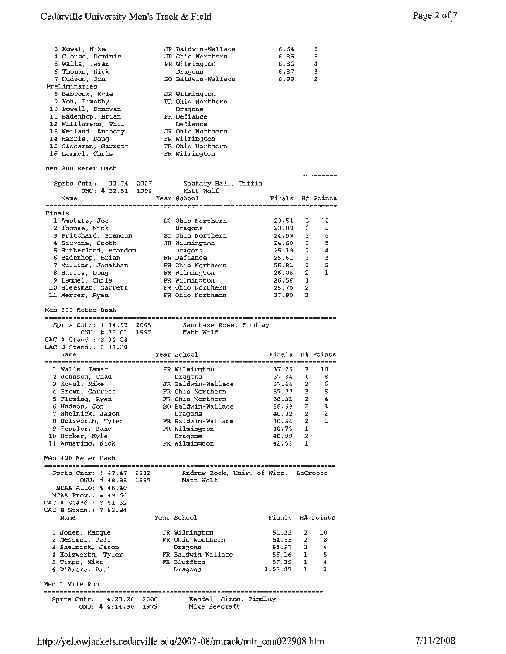|        | 3 Kowal, Mike              |  | JR Baldwin-Wallace                    | 6.64                                                             |              | 6                   |
|--------|----------------------------|--|---------------------------------------|------------------------------------------------------------------|--------------|---------------------|
|        | 4 Clouse, Dominic          |  | JR Ohio Northern                      | 6.85                                                             |              | 5                   |
|        | 5 Walls, Tamar             |  | FR Wilmington                         | 6.86                                                             |              | -4                  |
|        | 6 Thomas, Nick             |  | Dragons                               | 6.87                                                             |              | 3                   |
|        | 7 Hudson, Jon              |  | SO Baldwin-Wallace                    | 6.99                                                             |              | 2                   |
|        | Preliminaries              |  |                                       |                                                                  |              |                     |
|        |                            |  |                                       |                                                                  |              |                     |
|        | 6 Babcock, Kyle            |  | JR Wilmington                         |                                                                  |              |                     |
|        | 9 Yeh, Timothy             |  | FR Ohio Northern                      |                                                                  |              |                     |
|        | 10 Powell, Donovan         |  | Dragons                               |                                                                  |              |                     |
|        | 11 Badenhop, Brian         |  | FR Defiance                           |                                                                  |              |                     |
|        |                            |  |                                       |                                                                  |              |                     |
|        | 12 Williamson, Phil        |  | Defiance                              |                                                                  |              |                     |
|        | 13 Weiland, Anthony        |  | JR Ohio Northern                      |                                                                  |              |                     |
|        | 14 Harris, Doug            |  | FR Wilmington                         |                                                                  |              |                     |
|        | 15 Sleesman, Garrett       |  | FR Ohio Northern                      |                                                                  |              |                     |
|        | 16 Lemmel, Chris           |  | FR Wilmington                         |                                                                  |              |                     |
|        |                            |  |                                       |                                                                  |              |                     |
|        | Men 200 Meter Dash         |  |                                       |                                                                  |              |                     |
|        |                            |  |                                       |                                                                  |              |                     |
|        |                            |  |                                       |                                                                  |              |                     |
|        | Sprts Cntr: ! 22.74 2007   |  | Zachary Ball, Tiffin                  |                                                                  |              |                     |
|        | ONU: # 22.51 1996          |  | Matt Wolf                             |                                                                  |              |                     |
|        | Name                       |  | Year School                           | Finals H# Points                                                 |              |                     |
|        |                            |  |                                       |                                                                  |              |                     |
| Finals |                            |  |                                       |                                                                  |              |                     |
|        | 1 Amstutz, Joe             |  | SO Ohio Northern                      | 23.54                                                            | 3.           | 10                  |
|        |                            |  |                                       |                                                                  |              | 8                   |
|        | 2 Thomas, Nick             |  | Dragons                               | 23.89                                                            | з            |                     |
|        | 3 Pritchard, Brandon       |  | SO Ohio Northern                      | 24.59                                                            | з            | 6                   |
|        | 4 Stevens, Scott           |  | JR Wilmington                         | 24.60                                                            | 3            | 5                   |
|        | 5 Sutherland, Brandon      |  | Dragons                               | 25.19                                                            | 2            | 4                   |
|        | 6 Badenhop, Brian          |  | FR Defiance                           | 25.61                                                            | 3            | з                   |
|        |                            |  |                                       |                                                                  |              |                     |
|        | 7 Mullins, Jonathan        |  | FR Ohio Northern                      | 25.81                                                            | 2            | 2                   |
|        | 8 Harris, Doug             |  | FR Wilmington                         | 26.08                                                            | 2            | 1                   |
|        | 9 Lemmel, Chris            |  | FR Wilmington                         | $26.56$ 1                                                        |              |                     |
|        | 10 Sleesman, Garrett       |  | FR Ohio Northern                      | 26.70                                                            | 2            |                     |
|        | 11 Mercer, Ryan            |  | FR Ohio Northern                      | 27.90                                                            | $\mathbf{1}$ |                     |
|        |                            |  |                                       |                                                                  |              |                     |
|        | Men 300 Meter Dash         |  |                                       |                                                                  |              |                     |
|        |                            |  |                                       |                                                                  |              |                     |
|        |                            |  |                                       |                                                                  |              |                     |
|        | Sprts Cntr: ! 34,92 2005   |  | Sanchaze Ross, Findlay                |                                                                  |              |                     |
|        | ONU: # 35.01 1997          |  | Matt Wolf                             |                                                                  |              |                     |
|        | OAC A Stand.: 0 36.88      |  |                                       |                                                                  |              |                     |
|        |                            |  |                                       |                                                                  |              |                     |
|        |                            |  |                                       |                                                                  |              |                     |
|        | OAC B Stand.: ? 37.30      |  |                                       |                                                                  |              |                     |
|        | Name                       |  | Year School                           | Finals H# Points                                                 |              |                     |
|        |                            |  |                                       |                                                                  |              |                     |
|        | 1 Walls, Tamar             |  | FR Wilmington                         | 37.25                                                            | 3.           | 10                  |
|        | 2 Johnson, Chad            |  | Dragons                               | 37.34                                                            | 1            | 8                   |
|        | 3 Kowal, Mike              |  | JR Baldwin-Wallace                    |                                                                  |              | 6                   |
|        |                            |  |                                       |                                                                  |              |                     |
|        | 4 Brown, Garrett           |  | FR Ohio Northern                      | $37.44$ $3$<br>$37.77$ $3$                                       |              | 5                   |
|        | 5 Fleming, Ryan            |  | FR Chio Northern                      | 38.31                                                            |              | 4<br>2 <sup>2</sup> |
|        | 6 Hudson, Jon              |  | SO Baldwin-Wallace                    | 38.69                                                            | 2            | 3                   |
|        | 7 Shelnick, Jason          |  | Dragons                               | 40.02 2                                                          |              | 2                   |
|        | 8 Holzworth, Tyler         |  | FR Baldwin-Wallace                    | 40.34                                                            | 2            | 1                   |
|        |                            |  |                                       |                                                                  |              |                     |
|        | 9 Fessler, Zane            |  | FR Wilmington                         | 40.73 1                                                          |              |                     |
|        | 10 Smoker, Kyle            |  | Dragons                               | 40.99 2                                                          |              |                     |
|        | 11 Annarino, Nick          |  | FR Wilmington                         | 42.53                                                            | 1            |                     |
|        |                            |  |                                       |                                                                  |              |                     |
|        | Men 400 Meter Dash         |  |                                       |                                                                  |              |                     |
|        |                            |  |                                       |                                                                  |              |                     |
|        | Sprts Cntr: 1 47.47 2002   |  | Andrew Rock, Univ. of Wisc. -LaCrosse |                                                                  |              |                     |
|        |                            |  |                                       |                                                                  |              |                     |
|        | ONU: # 48.88 1997          |  | Matt Wolf                             |                                                                  |              |                     |
|        | NCAA Auto: \$ 48.40        |  |                                       |                                                                  |              |                     |
|        | NCAA Prov.: & 49.60        |  |                                       |                                                                  |              |                     |
|        | OAC A Stand.: @ 51.52      |  |                                       |                                                                  |              |                     |
|        | OAC B Stand.: ? 52.84      |  |                                       |                                                                  |              |                     |
|        | Name                       |  | Year School                           | Finals H# Points                                                 |              |                     |
|        |                            |  |                                       |                                                                  |              |                     |
|        |                            |  |                                       |                                                                  |              |                     |
|        | 1 Jones, Marque            |  | JR Wilmington                         | 51.33                                                            | 2            | 10                  |
|        | 2 Messmer, Jeff            |  |                                       | 54.85                                                            | 2            | 8                   |
|        | 3 Shelnick, Jason          |  | FR Ohio Northern<br>Dragons           |                                                                  |              |                     |
|        | 4 Holzworth, Tyler         |  | FR Baldwin-Wallace                    |                                                                  |              |                     |
|        |                            |  |                                       | $\begin{array}{cccc} 54.97 & 2 & 6 \\ 56.16 & 1 & 5 \end{array}$ |              |                     |
|        | 5 Timpe, Mike              |  | FR Bluffton                           |                                                                  |              | $\frac{4}{3}$       |
|        | 6 D'Amore, Paul            |  | Dragons                               | $57.39$ 1 4<br>1:02.27 1 3                                       |              |                     |
|        |                            |  |                                       |                                                                  |              |                     |
|        | Men 1 Mile Run             |  |                                       |                                                                  |              |                     |
|        |                            |  |                                       |                                                                  |              |                     |
|        | Sprts Cntr: ! 4:23.26 2006 |  | Kendell Simon, Findlay                |                                                                  |              |                     |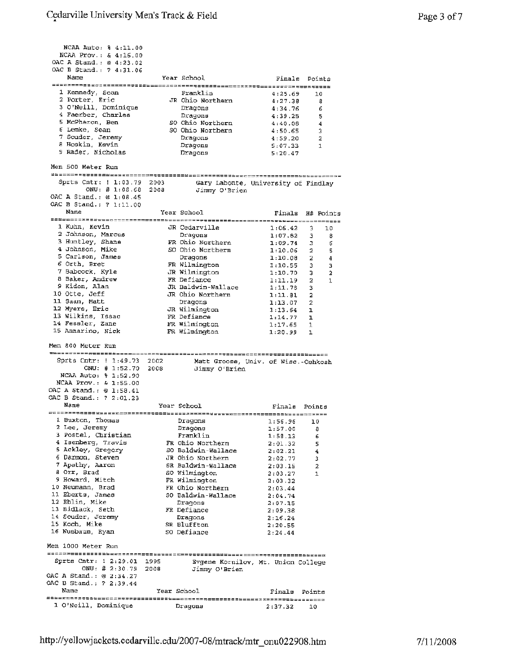NCAA Auto, % 4:11.00 NCAA Prov.: & 4:16.00 OAC A Stand.:@ 4:23.02 OAC B Stand.: ? 4:31.06 Name 1 Kennedy, Sean <sup>2</sup>Porter, Eric 3 O'Neill, Dominique 4 Faerber, Charles 5 McPheron, Ben 6 Lemke, Sean 7 Souder, Jeremy 8 Hoskin, Kevin 9 Rader, Nicholas Men 500 Meter Run Sprts Cntr, 1:03.79 ntr: ! 1:03.79 2003<br>ONU: # 1:05.68 2008 OAC A Stand.,@ 1:08.45 OAC B Stand.: ? 1:11.00 Name 1 Kuhn, Kevin <sup>2</sup>Johnson, Marcus <sup>3</sup>Huntley, Shane 4 Johnson, Mike 5 Carlson, James 6 Orth, Bret 7 Babcock, Kyle 8 Baker, Andrew <sup>9</sup>Kidon, Alan 10 Otte, Jeff 11 Saam, Matt 12 Myers, Eric 13 Wilkins, Issac 14 Fessler, Zane 15 Annarino, Nick Men BOO Meter Run Sprts Cntr: 1:49.73 ntr: ! 1:49.73 2002<br>ONU: # 1:52.70 2008 NCAA Auto: % 1:52.90 NCAA Prov.: & 1:55.00 OAC A Stand. : @ 1:58.41 OAC B Stand.: ? 2 :01.23 Name l Buxton, Thomas 2 **Lee,** Jeremy <sup>3</sup>Postel, Christian <sup>4</sup>Isenberg, Travis **5** Ackley, Gregory <sup>6</sup>Darmon, Steven 7 Apathy, Aaron **<sup>8</sup>**Orr, Brad 9 Howard, Mitch 10 **Neumann,** Brad 11 Eberts, James 12 Eblin, Mike 13 Bidlack, Seth 14 Souder, Jeremy **15** Koch, Mike 16 Nusbaum, Ryan Men 1000 Meter Run Sprts Cntr: 2 :29.01 ONU: # 2:30.79 OAC A Stand.: @ 2:34.27 OAC B Stand.: ? 2:39.44 Name energieses externalisation of the contract of the contract of the contract of the contract of the contract of t<br>1 O'Neill, Dominique Dragons 2:37.32 10 Year School Finals Points 2003 Gary Labonte, University of Findlay<br>2008 Jimmy O'Brien JR so so Franklin 4:25.69 10 Ohio Northern 4:27.38 8 Dragons 4:34.76 <sup>6</sup> Dragons 4:39.25 s Ohio Northern 4:40.08 4 Ohio Northern 4:50.65 <sup>3</sup> Dragons 4:59.20 2 Dragons 5:07.33 1 Dragons 5:20.47 Jimmy O'Brien Year School **Finals** H# Points 2008 Matt Groose, Univ. of Wisc.-Oshkosh JR **FR**  so FR JR **FR**  JR JR JR FR **FR FR**  Cedarville 1:06.42 3 10 Dragons 1:07.82 3 <sup>8</sup> Ohio Northern 1:09.74 3 6 Ohio Northern 1:10.06 2 5 Dragons 1:10.08 2 **<sup>4</sup>** Wilmington 1:10.55 3 3 Wilmington 1:10.70 3 2 Defiance 1:11.19 2 1 Baldwin-Wallace 1:11.78 3 Ohio Northern **1:11.81** 2 Dragons 1:13.07 2 Wilmington 1:13.64 1 Defiance 1:14.77 1 Wilmington 1:17.65 1 Wilmington 1:20.99 l Jimmy O'Brien Year School **Finals** Points 1995 :mos Evgene Kornilov, Mt. Union College FR so JR SR so FR FR so FR SR so Dragons 1:56.96 10 Dragons 1:57.00 8 Franklin 1:58.13 6 Ohio Northern 2:01.32 **<sup>5</sup>** Baldwin-Wallace 2:02.21 **<sup>4</sup>** Ohio Northern 2:02.77 3 Baldwin-Wallace **2:** 03 .15 <sup>2</sup> Wilmington 2:03.27 1 Wilmington 2:03.32 Ohio Northern 2:03.44 Baldwin-Wallace 2:04.74 Dragons 2:07.15 Defiance 2:09.38 Dragons 2,16.24  $\frac{1}{2}$ :20.55 Defiance 2:24.44 Jimmy O'Brien Year School **Finals** Points Dragons 2:37.32 10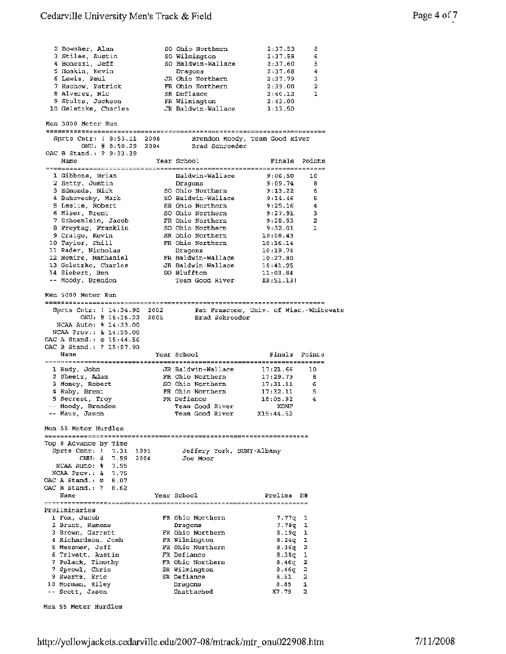#### Cedarville University Men's Track & Field

so so so JR FR SR

<sup>2</sup>Bowsher, Alan 3 Stiles, Austin <sup>4</sup>Bonezzi, Jeff 5 Hoskin, Kevin 6 Lewis, Paul 7 Rachow, Patrick a Alverez, Nie

| . נשיגוע                       |               |              |
|--------------------------------|---------------|--------------|
|                                |               |              |
|                                |               |              |
| Ohio Northern                  | $2:37.53$ 8   |              |
| Wilmington                     | 2:37.59 6     |              |
| Baldwin-Wallace                | $2:37.60$ 5   |              |
| Draqons                        | $2:37.68$ 4   |              |
| Ohio Northern                  | 2:37.79 3     |              |
| Ohio Northern                  | 2:39.00 2     |              |
| Defiance                       | 2:40.12       | $\mathbf{I}$ |
| Wilmington                     | 2:43.00       |              |
| Baldwin-Wallace                | 3:13.50       |              |
|                                |               |              |
|                                |               |              |
|                                |               |              |
| Brendon Moody, Team Good River |               |              |
| Brad Schroeder                 |               |              |
| School                         | Finals Points |              |
|                                |               |              |
|                                |               |              |
|                                |               |              |
| Draqons                        | $9:09.74$ 8   |              |
| Ohio Northern 9:13.22 6        |               |              |
|                                |               |              |
| Ohio Northern                  | $9:25.16$ 4   |              |
| Ohio Northern                  | 9:27.91 3     |              |

| 9 Stults, Jackson<br>10 Geletzke, Charles                                    |      | FR Wilmington<br>JR Baldwin-Wallace              | 2:43.00<br>3:13.50                |                |
|------------------------------------------------------------------------------|------|--------------------------------------------------|-----------------------------------|----------------|
| Men 3000 Meter Run                                                           |      |                                                  |                                   |                |
| Sprts Cntr: 1 8:53.11 2008<br>ONU: # 8:50.29 2004<br>OAC B Stand.: ? 9:23.39 |      | Brendon Moody, Team Good River<br>Brad Schroeder |                                   |                |
| Name                                                                         |      | Year School                                      | Finals Points<br>---------------- |                |
| 1 Gibbons, Brian                                                             |      | Baldwin-Wallace                                  | 9:06.50                           | 10             |
| 2 Setty, Justin                                                              |      | Dragons                                          | 9:09.74                           | 8              |
| 3 Edmonds, Nick                                                              |      | SO Ohio Northern                                 | 9:13.22                           | 6              |
| 4 Buhovecky, Mark                                                            |      | SO Baldwin-Wallace                               | 9:14.46                           | 5              |
| 5 Leslie, Robert                                                             |      | SR Ohio Northern                                 | 9:25.16                           | 4              |
| 6 Hiser, Brent                                                               |      | SO Ohio Northern                                 | 9:27.91                           | 3              |
| 7 Schoenlein, Jacob                                                          |      | FR Ohio Northern                                 | 9:28.93                           | $\overline{a}$ |
| 8 Freytag, Franklin                                                          |      | SO Ohio Northern                                 | 9:32.01                           | 1              |
| 9 Craigo, Kevin<br>10 Taylor, Phill                                          |      | SR Ohio Northern<br>FR Ohio Northern             | 10:08.43<br>10:16.14              |                |
| 11 Rader, Nicholas                                                           |      | Dragons                                          | 10:19.74                          |                |
| 12 Nemire, Nathaniel                                                         |      | FR Baldwin-Wallace                               | 10:27.80                          |                |
| 13 Geletzke, Charles                                                         |      | JR Baldwin-Wallace                               | 10:41.95                          |                |
| 14 Siebert, Ben                                                              |      | SO Bluffton                                      | 11:03.84                          |                |
| -- Moody, Brendon                                                            |      | Team Good River                                  | X8:51.13!                         |                |
|                                                                              |      |                                                  |                                   |                |
| Men 5000 Meter Run                                                           |      |                                                  |                                   |                |
| Sprts Cntr: ! 14:34.90 2002                                                  |      | Pat Frascone, Univ. of Wisc.-Whitewate           |                                   |                |
| ONU: $\sharp$ 15:15.22                                                       | 2005 | Brad Schroeder                                   |                                   |                |
| NCAA Auto: % 14:33.00                                                        |      |                                                  |                                   |                |
| NCAA Prov.: & 14:55.00                                                       |      |                                                  |                                   |                |
| OAC A Stand.: @ 15:44.56                                                     |      |                                                  |                                   |                |
| OAC B Stand.: ? 15:57.90                                                     |      |                                                  |                                   |                |
|                                                                              |      |                                                  |                                   |                |
| Name                                                                         |      | Year School                                      | Finals                            | Points         |
|                                                                              |      |                                                  |                                   |                |
| 1 Rudy, John                                                                 |      | JR Baldwin-Wallace                               | 17:21.66                          | 10             |
| 2 Sheetz, Adam                                                               |      | FR Chio Northern                                 | 17:29.79                          | ₿              |
| 3 Money, Robert                                                              |      | SO Ohio Northern                                 | 17:31.11                          | 6<br>5         |
| 4 Ruby, Brent<br>5 Secrest, Troy                                             |      | FR Ohio Northern<br>FR Defiance                  | 17:32.11<br>18:05.92              | 4              |
|                                                                              |      | Team Good River                                  | XDNF                              |                |
| -- Moody, Brendon<br>-- Maus, Jason                                          |      | Team Good River                                  | X15:44.52                         |                |
| Men 55 Meter Hurdles                                                         |      |                                                  |                                   |                |
|                                                                              |      |                                                  |                                   |                |
| Top 8 Advance by Time                                                        |      |                                                  |                                   |                |
| Sprts $Cntr: 1 7.31$<br>1995                                                 |      | Jeffery York, SUNY-Albany                        |                                   |                |
| 7.59<br>$ONU:$ #<br>2004                                                     |      | Јое Моог                                         |                                   |                |
| NCAA Auto: % 7.55                                                            |      |                                                  |                                   |                |
| NCAA Prov.: & 7.75                                                           |      |                                                  |                                   |                |
| OAC A Stand.: @<br>8.07                                                      |      |                                                  |                                   |                |
| OAC B Stand.: ?<br>8.62                                                      |      |                                                  |                                   |                |
| Name                                                                         |      | Year School                                      | Prelims H#                        |                |
|                                                                              |      |                                                  |                                   |                |
| Preliminaries                                                                |      |                                                  |                                   |                |
| 1 Fox, Jacob                                                                 |      | FR Ohio Northern                                 | 7.77q                             | ı<br>1         |
| 2 Brant, Ramone<br>3 Brown, Garrett                                          |      | Dragons<br>FR Ohio Northern                      | 7.78g<br>8.19q l                  |                |
| 4 Richardson, Josh                                                           |      | FR Wilmington                                    | $8.24q$ 1                         |                |
| 5 Messmer, Jeff                                                              |      | FR Ohio Northern                                 | $8.36q$ 2                         |                |
| 6 Trivett, Austin                                                            |      | FR Defiance                                      | 8.38a 1                           |                |
| 7 Polack, Timothy                                                            |      | FR Ohio Northern                                 | 8.460                             | 2              |
| 7 Sprowl, Chris                                                              |      | SR Wilmington                                    | 8.46g                             | 2              |
| 9 Swartz, Eric                                                               |      | SR Defiance                                      | 8.51                              | 2              |
| 10 Morman, Riley<br>-- Scott, Jason                                          |      | Dragons<br>Unattached                            | 8.85<br>X7.79                     | ı<br>2         |

Men 55 Meter Hurdles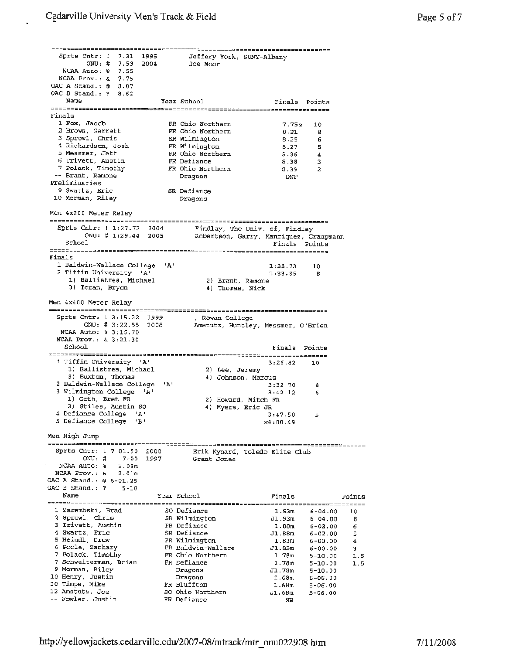Sprta Cntr: ONU: # NCAA Auto: % 7.55 NCAA Prov.; & 7.75 OAC A Stand. : @ 8.07 OAC B Stand.: ? 8.62 7.31 7 .59 1995 2004 Jeffery York, SUNY-Albany Joe Moor Name Year School Finals Points Finals 1 Fox, Jacob 2 Brown, Garrett <sup>3</sup>Sprowl, Chris <sup>4</sup>Richardson, Josh <sup>5</sup>Messmer, Jeff <sup>6</sup>Trivett, Austin 7 Polack, Timothy Brant, Ramone -- Brant, Ramone<br>Preliminaries <sup>9</sup>Swartz, Eric J.O Morman, Riley SR Defiance Men 4x200 Meter Relay Sprts Cntr: I J.:27.72 ONU: # l :29 .44 School Finals 2004 2005 FR FR SR FR FR FR FR 1 Baldwin-Wallace College **'A'**  2 Tiffin University 'A' 1) Ballistrea, Michael 2) Brant, Ramone 3) Toran, Bryon Men 4x400 Meter Relay Sprts Cntr: 3:15.22 1999  $\overline{ONU}:$  # 3:22.55 2008<br>NCAA Auto: % 3:16.70 NCAA Auto: % 3:16.70<br>NCAA Prov.: & 3:21.30 School 1 Tiffin University 'A' 1) Ballistrea, Michael 3) Buxton, Thomas 2 Baldwin-Wallace College 3 Wilmington College **IA'**  1) Orth, Bret FR 3) Stiles, Austin so 4 Defiance College **'A'**  <sup>5</sup>Defiance College 'B' Men High Jump Sprts Cntr: j 7-01. **50**  ntr: 1 7-01.50 2008<br>ONU: # 7-00 1997  $ONU: # 7-00 1997$ <br>NCAA Auto:  $\frac{1}{8}$  2.09m **NCAA** Prov.: & 2.0lm OAC **A** Stand.: ® 6-01.25 OAC B Stand.: ? 5-10 **'A'**  Ohio Northern 7.75& 10 Ohio Northern  $8.21$  8 Wilmington 8.25 6 Wilmington 8.27 5 Ohio Northern 8.36 4 Defiance 8.38 3 Ohio Northern 8.39 <sup>2</sup> Dragons DNF Dragons Findlay, The Univ. of, Findlay Robertson, Garry, Manriquez, Graupmann Finals Points 1: 33. 73 1:33.85 **4)** Thomas, Nick , Rowan College 10 **8**  Amstutz, Huntley, Messmer, O'Brien Finals Points 3:26.82 10 2) Lee, Jeremy **4)** Johnson, Marcus 3:32.70 8 3:42.12 6 2) Howard, Mitch FR 4) Myers, Eric JR 3:47.50 5 x4:00.49 Erik Kynard, Toledo Elite Club Grant Jones Name Year School Finals Points ~-~---------=~~~~:=========--------~~=~==========-----~-=~~~~~~~===;----======~~~ 1 Zarembski, Brad so Defiance 1.93m 6-04.00 10 2 Sprowl, Chris SR Wilmington Jl. 93m 6-04,00 **<sup>8</sup>** 3 Trivett, Austin **FR** Defiance 1.eam 6-02.00 *<sup>6</sup>* 4 Swartz, Eric SR Defiance 31.0000 S<br>4 Swartz, Eric SR Defiance 31.88m 6-02.00 5<br>5 Heindl, Drew FR Wilmington 1.83m 6-00.00 4 6 Poole, zachary **FR** Baldwin-Wallace Jl.83m 6-00.00 <sup>3</sup> <sup>7</sup>Polack, Timothy **FR** Ohio Northern l.7Bm 5-10.00 1.5 7 Schweiterman, Brian **FR** Defiance 1.78m 5-10.00 1.5 9 Morman, Riley Dragons J..78m 5-10.00<br>10 Henry, Justin Dragons 1.68m 5-06.00 10 Timpe, Mike FR Bluffton 1.68m 5-06.00 12 Amstutz, Joe so Ohio Northern Jl.68m 5-06.00 Fowler, Justin FR Defiance NH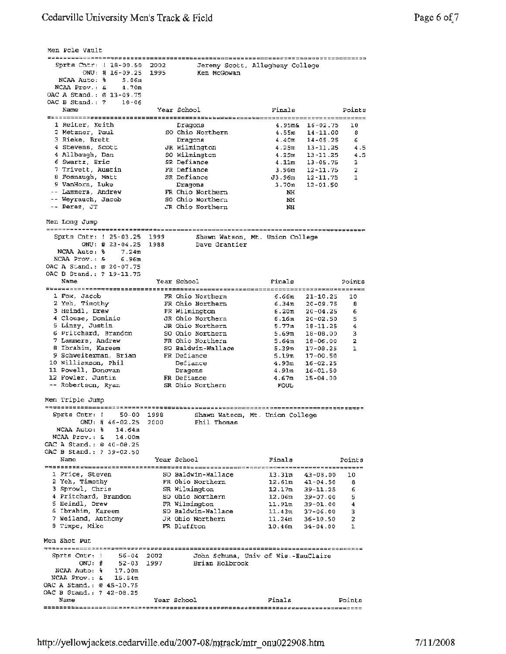Men Pole Vault Sprts Cntr: 1 18-00.50 Jeremy Scott, Allegheny College 2002 ONU: # 16-09.25 1995 Ken McGowan NCAA Auto: % 5.06m NCAA Prov.: & 4. 70m OAC A Stand. : @ 13-09. 75 OAC B Stand, : ? 10-06 Year School Finals Name Points 1 Reiter, Keith Dragons 4.95m& 16-02.75 so Ohio Northern 4.55m 14-11.00 10 2 Metzner, Paul 8 3 Rieke, Brett Dragons 4.40m 14-05.25 6 4.5 4 Stevens, Scott JR Wilmington 4.25m 13-11.25 so Wilmington 4.25m 13-11.25 <sup>4</sup>Allbaugh, Dan 4.5 6 Swartz, Eric SR Defiance 4.llm 13-05.75 3 7 Trivett, Austin FR Defiance 3.96m 12-11.75 2 8 Fosnaugh, Matt SR Defiance J3.96m 12 -11. 75 1 9 VanHorn, Luke Dragons 3.70m 12-01.50 Lammers, Andrew FR Ohio Northern NH<br>SO Ohio Northern NH Weyrauch, Jacob Perez, JT JR Ohio Northern NH Men Long Jump Sprts Cntr: 25-03.25 1999 Shawn Watson, Mt. Union College ONU: # 23-04.25 1988 Dave Grantier NCAA Auto:  $\frac{1}{6}$  7.24m NCAA Prov.: & 6. 96m OAC A Stand., @ 20-07.75 OAC B Stand.: ? 19-11.75 Name Year School Finals Points 1 Fox, Jacob **FR** Ohio Northern 6.66m 21-10.25 10 2 Yeh, Timothy FR Ohio Northern 6.34m 20-09.75 B 6 3 Heindl, Drew FR Wilmington 6.20m 20-04.25 **<sup>4</sup>**Clouse, Dominic 5 Linzy, Justin JR Ohio Northern 6.16m 20-02.50 5 JR Ohio Northern 5. 77m 18-11.25 4 <sup>6</sup>Pritchard, Brandon so Ohio Northern 5.69m 18-08.00 3 FR Ohio Northern 5.64m 18-06.00 7 Lammers, Andrew 2 *so* Baldwin-Wallace 5.39m 17-08.25 **<sup>8</sup>**Ibrahim, Kareem 1 9 Schweiterman, Brian FR Defiance 5.19m 17-00.50 10 Williamson, Phil Defiance 4.93m 16-02.25 11 Powell, Donovan 12 Fowler, Justin Dragons 4.91m 16-01.50 **FR** Defiance **4.67m** 15-04.00 Robertson, Ryan SR Ohio Northern FOUL Men Triple Jump Sprts Cntr:  $1$  50-00 Shawn Watson, Mt. Union College ntr: ! 50-00 1998<br>ONU: # 46-02.25 2000 Phil Thomas 2000 NCAA Auto: % 14.64m **NCAA** Prov.: & 14.00m OAC **A** Stand. ; @ 40-08.25 OAC B Stand.: ? 39-02.50 Year School Finals Name Points l Price, Steven so Baldwin-Wallace 13.31m 43-08.00 10 2 Yeh, Timothy FR Ohio Northern 12,61m 41-04.50 **8**  <sup>3</sup>Sprowl, Chris SR Wilmington 12.17m 39-11.25 so Ohio Northern 12.06m 39-07.00 6 **<sup>4</sup>**Pritchard, Brandon 5 5 Heindl, Drew FR Wilmington 11.91m 39-01.00 **4**  <sup>6</sup>Ibrahim, Kareem *so* Baldwin-Wallace ll.43m 37-06.00 3 ? Weiland, Anthony JR Ohio Northern 11.24m 36-10.50 **2**  8 Timpe, Mike **FR** Bluffton 10 .46m 34-04.00 1 Men Shot Put Sprts  $Cntr: 1$  56-04 2002 John Schuna, Univ of Wia.-EauClaire  $ONU:$   $\sharp$  52-03 1997 Brian Holbrook NCAA Auto: % 17.00m NCAA Prov.: & 15.54m OAC A Stand. : @ 45-10.75 OAC B Stand.; ? 42-08.25 Name Year School Finals Points